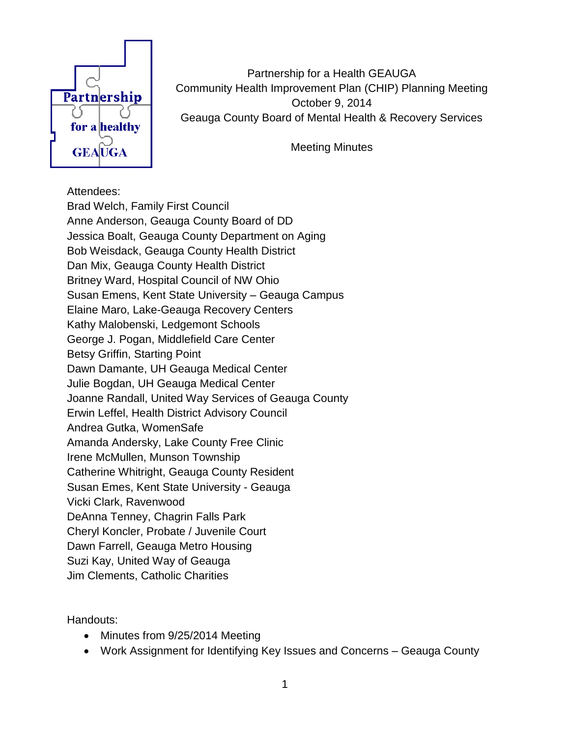

Partnership for a Health GEAUGA Community Health Improvement Plan (CHIP) Planning Meeting October 9, 2014 Geauga County Board of Mental Health & Recovery Services

Meeting Minutes

#### Attendees:

Brad Welch, Family First Council Anne Anderson, Geauga County Board of DD Jessica Boalt, Geauga County Department on Aging Bob Weisdack, Geauga County Health District Dan Mix, Geauga County Health District Britney Ward, Hospital Council of NW Ohio Susan Emens, Kent State University – Geauga Campus Elaine Maro, Lake-Geauga Recovery Centers Kathy Malobenski, Ledgemont Schools George J. Pogan, Middlefield Care Center Betsy Griffin, Starting Point Dawn Damante, UH Geauga Medical Center Julie Bogdan, UH Geauga Medical Center Joanne Randall, United Way Services of Geauga County Erwin Leffel, Health District Advisory Council Andrea Gutka, WomenSafe Amanda Andersky, Lake County Free Clinic Irene McMullen, Munson Township Catherine Whitright, Geauga County Resident Susan Emes, Kent State University - Geauga Vicki Clark, Ravenwood DeAnna Tenney, Chagrin Falls Park Cheryl Koncler, Probate / Juvenile Court Dawn Farrell, Geauga Metro Housing Suzi Kay, United Way of Geauga Jim Clements, Catholic Charities

Handouts:

- Minutes from 9/25/2014 Meeting
- Work Assignment for Identifying Key Issues and Concerns Geauga County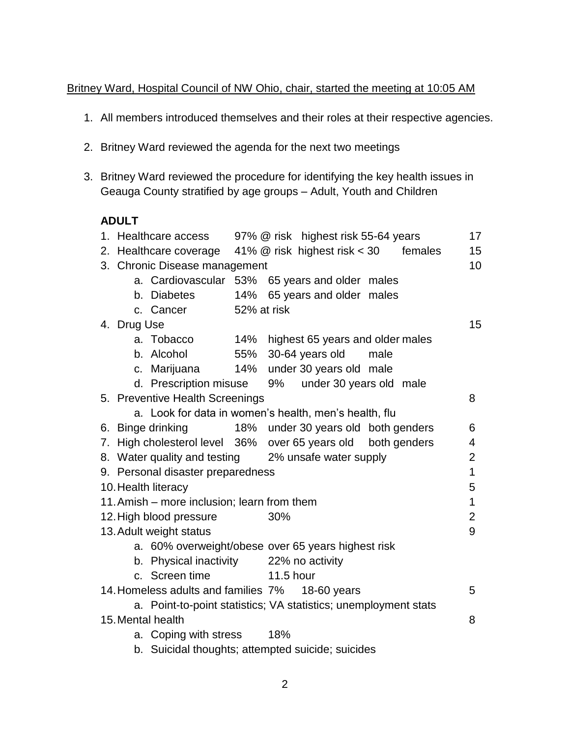### Britney Ward, Hospital Council of NW Ohio, chair, started the meeting at 10:05 AM

- 1. All members introduced themselves and their roles at their respective agencies.
- 2. Britney Ward reviewed the agenda for the next two meetings
- 3. Britney Ward reviewed the procedure for identifying the key health issues in Geauga County stratified by age groups – Adult, Youth and Children

#### **ADULT**

|                                                                 |                                                       | 1. Healthcare access<br>97% @ risk highest risk 55-64 years  |             |                  |                                      |  | 17             |                |  |
|-----------------------------------------------------------------|-------------------------------------------------------|--------------------------------------------------------------|-------------|------------------|--------------------------------------|--|----------------|----------------|--|
|                                                                 |                                                       | 2. Healthcare coverage 41% @ risk highest risk < 30          |             |                  |                                      |  | females        | 15             |  |
|                                                                 |                                                       | 10<br>3. Chronic Disease management                          |             |                  |                                      |  |                |                |  |
|                                                                 |                                                       | a. Cardiovascular 53% 65 years and older males               |             |                  |                                      |  |                |                |  |
|                                                                 |                                                       | b. Diabetes                                                  |             |                  | 14% 65 years and older males         |  |                |                |  |
|                                                                 |                                                       | c. Cancer                                                    | 52% at risk |                  |                                      |  |                |                |  |
|                                                                 | 4. Drug Use                                           |                                                              |             |                  |                                      |  |                | 15             |  |
|                                                                 |                                                       | a. Tobacco                                                   |             |                  | 14% highest 65 years and older males |  |                |                |  |
|                                                                 |                                                       | b. Alcohol                                                   |             |                  | 55% 30-64 years old male             |  |                |                |  |
|                                                                 |                                                       | c. Marijuana                                                 |             |                  | 14% under 30 years old male          |  |                |                |  |
|                                                                 |                                                       | d. Prescription misuse                                       |             |                  | 9% under 30 years old male           |  |                |                |  |
|                                                                 |                                                       | 5. Preventive Health Screenings                              |             |                  |                                      |  |                | 8              |  |
|                                                                 | a. Look for data in women's health, men's health, flu |                                                              |             |                  |                                      |  |                |                |  |
|                                                                 |                                                       | 6. Binge drinking                                            |             |                  | 18% under 30 years old both genders  |  |                | 6              |  |
|                                                                 |                                                       | 7. High cholesterol level 36% over 65 years old both genders |             |                  |                                      |  |                | 4              |  |
| 8. Water quality and testing 2% unsafe water supply             |                                                       |                                                              |             |                  |                                      |  | $\overline{2}$ |                |  |
| 9. Personal disaster preparedness                               |                                                       |                                                              |             |                  |                                      |  | $\mathbf{1}$   |                |  |
|                                                                 |                                                       | 10. Health literacy                                          |             |                  |                                      |  |                | 5              |  |
|                                                                 |                                                       | 11. Amish – more inclusion; learn from them                  |             |                  |                                      |  |                | $\mathbf{1}$   |  |
|                                                                 |                                                       | 12. High blood pressure                                      |             | 30%              |                                      |  |                | $\overline{2}$ |  |
|                                                                 |                                                       | 13. Adult weight status                                      |             |                  |                                      |  |                | 9              |  |
|                                                                 |                                                       | a. 60% overweight/obese over 65 years highest risk           |             |                  |                                      |  |                |                |  |
|                                                                 |                                                       | b. Physical inactivity 22% no activity                       |             |                  |                                      |  |                |                |  |
|                                                                 |                                                       | c. Screen time                                               |             | <b>11.5 hour</b> |                                      |  |                |                |  |
|                                                                 |                                                       | 14. Homeless adults and families 7% 18-60 years              |             |                  |                                      |  |                | 5              |  |
| a. Point-to-point statistics; VA statistics; unemployment stats |                                                       |                                                              |             |                  |                                      |  |                |                |  |
| 15. Mental health<br>8                                          |                                                       |                                                              |             |                  |                                      |  |                |                |  |
|                                                                 |                                                       | a. Coping with stress                                        |             | 18%              |                                      |  |                |                |  |
| b. Suicidal thoughts; attempted suicide; suicides               |                                                       |                                                              |             |                  |                                      |  |                |                |  |
|                                                                 |                                                       |                                                              |             |                  |                                      |  |                |                |  |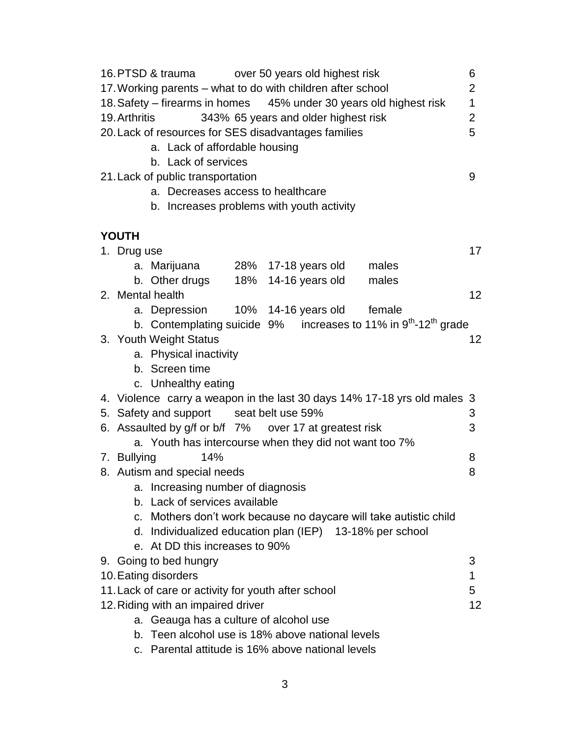| 16. PTSD & trauma over 50 years old highest risk                                 |    |  |  |  |  |
|----------------------------------------------------------------------------------|----|--|--|--|--|
| 17. Working parents - what to do with children after school                      |    |  |  |  |  |
| 18. Safety – firearms in homes 45% under 30 years old highest risk               |    |  |  |  |  |
| 343% 65 years and older highest risk<br>19. Arthritis<br>$\overline{2}$          |    |  |  |  |  |
| 20. Lack of resources for SES disadvantages families                             | 5  |  |  |  |  |
| a. Lack of affordable housing                                                    |    |  |  |  |  |
| b. Lack of services                                                              |    |  |  |  |  |
| 21. Lack of public transportation                                                | 9  |  |  |  |  |
| a. Decreases access to healthcare                                                |    |  |  |  |  |
| b. Increases problems with youth activity                                        |    |  |  |  |  |
|                                                                                  |    |  |  |  |  |
| <b>YOUTH</b>                                                                     |    |  |  |  |  |
| 1. Drug use                                                                      | 17 |  |  |  |  |
| a. Marijuana 28% 17-18 years old<br>males                                        |    |  |  |  |  |
| b. Other drugs 18% 14-16 years old<br>males                                      |    |  |  |  |  |
| 2. Mental health                                                                 | 12 |  |  |  |  |
| a. Depression 10% 14-16 years old female                                         |    |  |  |  |  |
| b. Contemplating suicide $9\%$ increases to 11% in $9th$ -12 <sup>th</sup> grade |    |  |  |  |  |
| 3. Youth Weight Status                                                           | 12 |  |  |  |  |
| a. Physical inactivity                                                           |    |  |  |  |  |
| b. Screen time                                                                   |    |  |  |  |  |
| c. Unhealthy eating                                                              |    |  |  |  |  |
| 4. Violence carry a weapon in the last 30 days 14% 17-18 yrs old males 3         |    |  |  |  |  |
| 5. Safety and support seat belt use 59%                                          | 3  |  |  |  |  |
| 6. Assaulted by g/f or b/f 7% over 17 at greatest risk                           | 3  |  |  |  |  |
| a. Youth has intercourse when they did not want too 7%                           |    |  |  |  |  |
| 14%<br>7. Bullying                                                               | 8  |  |  |  |  |
| 8. Autism and special needs                                                      | 8  |  |  |  |  |
| a. Increasing number of diagnosis                                                |    |  |  |  |  |
| b. Lack of services available                                                    |    |  |  |  |  |
| c. Mothers don't work because no daycare will take autistic child                |    |  |  |  |  |
| d. Individualized education plan (IEP) 13-18% per school                         |    |  |  |  |  |
| e. At DD this increases to 90%                                                   |    |  |  |  |  |
| 9. Going to bed hungry                                                           | 3  |  |  |  |  |
| 10. Eating disorders                                                             | 1  |  |  |  |  |
| 11. Lack of care or activity for youth after school                              |    |  |  |  |  |
| 5<br>12. Riding with an impaired driver<br>12                                    |    |  |  |  |  |
| a. Geauga has a culture of alcohol use                                           |    |  |  |  |  |
| b. Teen alcohol use is 18% above national levels                                 |    |  |  |  |  |
| c. Parental attitude is 16% above national levels                                |    |  |  |  |  |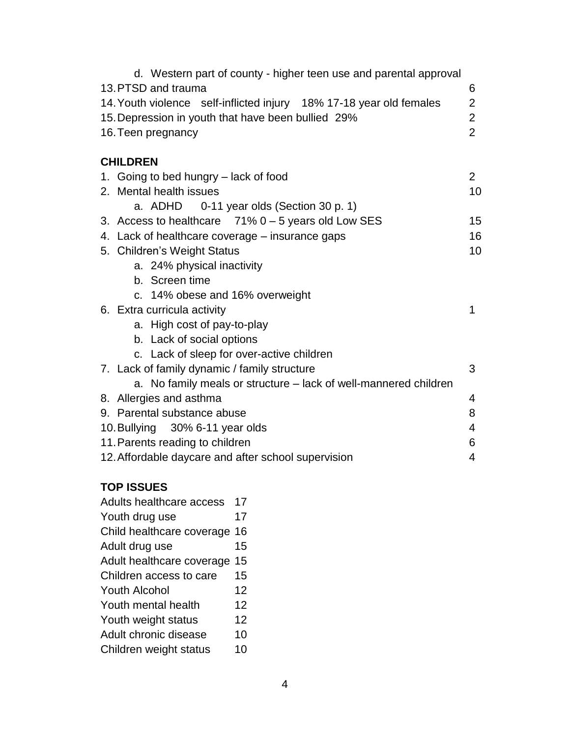| d. Western part of county - higher teen use and parental approval<br>13. PTSD and trauma<br>14. Youth violence self-inflicted injury 18% 17-18 year old females<br>15. Depression in youth that have been bullied 29%<br>16. Teen pregnancy | 6<br>$\overline{2}$<br>$\overline{2}$<br>$\overline{2}$ |  |  |  |
|---------------------------------------------------------------------------------------------------------------------------------------------------------------------------------------------------------------------------------------------|---------------------------------------------------------|--|--|--|
| <b>CHILDREN</b>                                                                                                                                                                                                                             |                                                         |  |  |  |
| 1. Going to bed hungry – lack of food                                                                                                                                                                                                       | $\overline{2}$                                          |  |  |  |
| 2. Mental health issues                                                                                                                                                                                                                     | 10                                                      |  |  |  |
| a. ADHD 0-11 year olds (Section 30 p. 1)                                                                                                                                                                                                    |                                                         |  |  |  |
| 3. Access to healthcare $71\%$ 0 – 5 years old Low SES                                                                                                                                                                                      | 15                                                      |  |  |  |
| 4. Lack of healthcare coverage – insurance gaps                                                                                                                                                                                             | 16                                                      |  |  |  |
| 5. Children's Weight Status                                                                                                                                                                                                                 | 10                                                      |  |  |  |
| a. 24% physical inactivity                                                                                                                                                                                                                  |                                                         |  |  |  |
| b. Screen time                                                                                                                                                                                                                              |                                                         |  |  |  |
| c. 14% obese and 16% overweight                                                                                                                                                                                                             |                                                         |  |  |  |
| 6. Extra curricula activity                                                                                                                                                                                                                 | 1                                                       |  |  |  |
| a. High cost of pay-to-play                                                                                                                                                                                                                 |                                                         |  |  |  |
| b. Lack of social options                                                                                                                                                                                                                   |                                                         |  |  |  |
| c. Lack of sleep for over-active children                                                                                                                                                                                                   |                                                         |  |  |  |
| 7. Lack of family dynamic / family structure                                                                                                                                                                                                | 3                                                       |  |  |  |
| a. No family meals or structure – lack of well-mannered children                                                                                                                                                                            |                                                         |  |  |  |
| 8. Allergies and asthma                                                                                                                                                                                                                     | 4                                                       |  |  |  |
| 9. Parental substance abuse                                                                                                                                                                                                                 | 8                                                       |  |  |  |
| 10. Bullying 30% 6-11 year olds                                                                                                                                                                                                             | 4                                                       |  |  |  |
| 11. Parents reading to children<br>6                                                                                                                                                                                                        |                                                         |  |  |  |
| 12. Affordable daycare and after school supervision<br>4                                                                                                                                                                                    |                                                         |  |  |  |

# **TOP ISSUES**

| <b>Adults healthcare access</b> | 17 |
|---------------------------------|----|
| Youth drug use                  | 17 |
| Child healthcare coverage       | 16 |
| Adult drug use                  | 15 |
| Adult healthcare coverage       | 15 |
| Children access to care         | 15 |
| Youth Alcohol                   | 12 |
| Youth mental health             | 12 |
| Youth weight status             | 12 |
| Adult chronic disease           | 10 |
| Children weight status          | 10 |
|                                 |    |